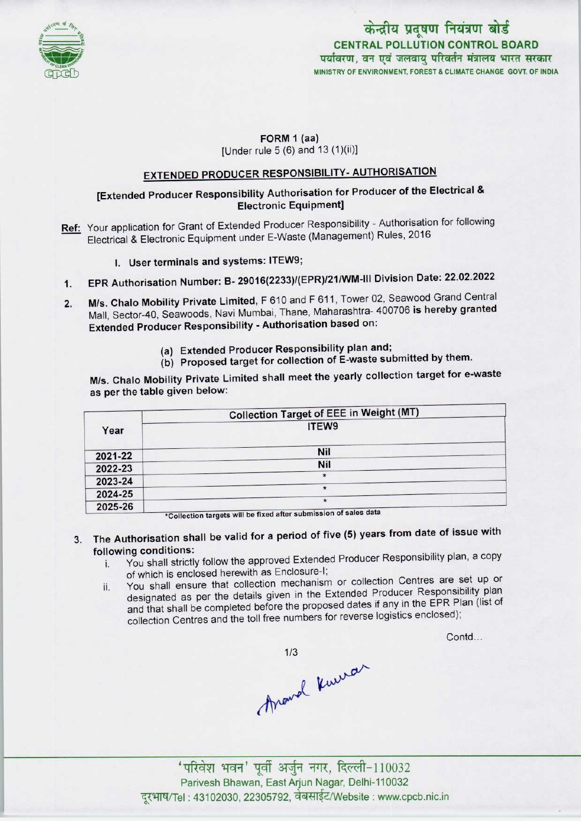

# केन्द्रीय प्रदूषण नियंत्रण बोर्ड CENTRAL POLLUTION CONTROL BOARDपर्यावरण, वन एवं जलवाय परिवर्तन मंत्रालय भारत सरकार MINISTRY OF ENVIRONMENT, FOREST S CLIMATE CHANGE GOVT. OF INDIA

### FORM 1 (aa) [Under rule 5 (6) and 13 (1)(ii)]

**EXTENDED PRODUCER RESPONSIBILITY- AUTHORISATION** 

## [Extended Producer Responsibility Authorisation for Producer of the Electrical & Electronic Equipment]

- Ref: Your application for Grant of Extended Producer Responsibility Authorisation for following Electrical & Electronic Equipment under E-Waste (Management) Rules, 2016
	- I. User terminals and systems: ITEW9;
- 1. User terminals and systems: ITEW9;<br>1. EPR Authorisation Number: B- 29016(2233)/(EPR)/21/WM-III Division Date: 22.02.2022
- 2. EPR Authorisation Number: B- 29016(2233)/(EPR)/21/WM-III Division Date: 22.02.2022<br>2. M/s. Chalo Mobility Private Limited, F 610 and F 611, Tower 02, Seawood Grand Central M/s. Chalo Mobility Private Limited, F 610 and F 611, Tower 02, Seawood Grand Central<br>Mall, Sector-40, Seawoods, Navi Mumbai, Thane, Maharashtra- 400706 is hereby granted Extended Producer Responsibility - Authorisation based on:
	- (a)Extended Producer Responsibility plan and;
	- (b) Proposed target for collection of E-waste submitted by them.

M/s. Chalo Mobility Private Limited shall meet the yearly collection target for e-waste as per the table given below:

|         | <b>Collection Target of EEE in Weight (MT)</b>                                                     |
|---------|----------------------------------------------------------------------------------------------------|
| Year    | ITEW9                                                                                              |
| 2021-22 | Nil                                                                                                |
| 2022-23 | Nil                                                                                                |
| 2023-24 | $\star$<br>$\star$                                                                                 |
| 2024-25 | $\star$                                                                                            |
| 2025-26 | $\cdots$ $\cdots$ $\cdots$ $\cdots$ $\cdots$ $\cdots$ $\cdots$ $\cdots$ $\cdots$ $\cdots$ $\cdots$ |

'Collection targets will be fixed after submission of sales data

- 3. The Authorisation shall be valid for a period of five (5) years from date of issue with following conditions:
	- i. You shall strictly follow the approved Extended Producer Responsibility plan, a copy of which is enclosed herewith as Enclosure-I;
	- ii. You shall ensure that collection mechanism or collection Centres are set up or designated as per the details given in the Extended Producer Responsibility plan and that shall be completed before the proposed dates if any in the EPR Plan (list of collection Centres and the toll free numbers for reverse logistics enclosed);

Contd...

thrand Kurran

'परिवेश भवन' पूर्वी अर्जुन नगर, दिल्ली-110032 Parivesh Bhawan, East Arjun Nagar, Delhi-110032 दरभाष/Tel : 43102030, 22305792, वेबसाईट/Website : www.cpcb.nic.in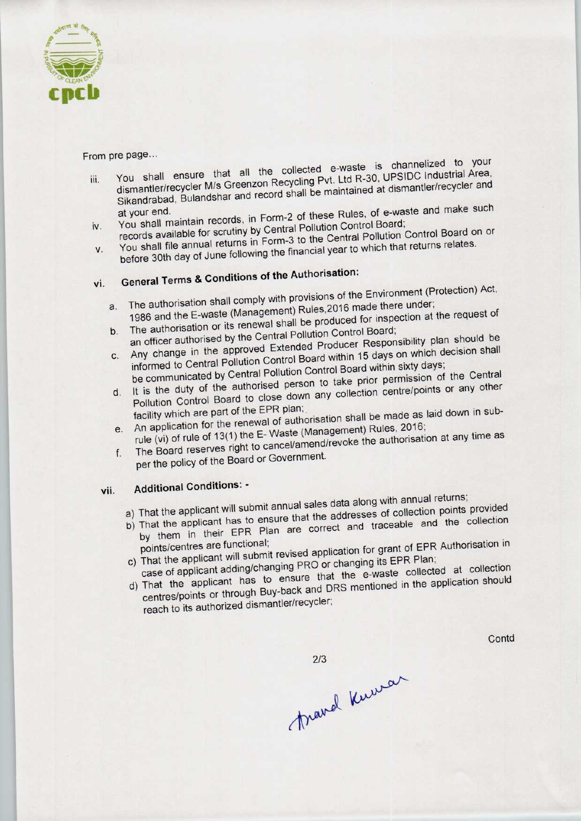

#### From pre page...

- From pre page...<br>that all the collected e-waste is channelized to your dismantler/recycler M/s Greenzon Recycling Pvt. Ltd R-30, UPSIDC Industrial Area,<br>Sikandrabad, Bulandshar and record shall be maintained at dismantler/recycler and You shall ensure that all the collected e-waste is chambitation area, iii. Sikandrabad, Bulandshar and record shall be shall be a shall be shall be shall be shall make such
- You shall maintain records, in Form-2 or these Rules, Choard; y. You shall maintain records, in Form-1 Pollution Control Board;<br>records available for scrutiny by Central Pollution Control Board on or
- before 30th day of June following the financial year to which that returns relates.<br>vi. General Terms & Conditions of the Authorisation: You shall file annual returns in Form-3 to the Gential Venture following relates. V.
- 

- The authorisation shall comply with provisions of the Environment (Protection) Act, a. The authorisation shall comply with provisions of the Ermionment (Figure 2016)<br>1986 and the E-waste (Management) Rules, 2016 made there under;<br>the request of inspection at the request of
- The authorisation or its renewal shall be produced for inspection at the request of an officer authorised by the Central Pollution Control Board; b. The authorisation or its renewal shall be produced for increase.<br>an officer authorised by the Central Pollution Control Board;<br>bell be an officer authorised by the central Producer Responsibility plan should be
- any change in the approved Extended Producer Responsibility production shall informed to Central Pollution Control Board within 15 days on which decision shall
- be communicated by Central Pollution Control Board within sixty days; d. It is the duty of the authorised person to take prior permission of the Central
- Pollution Control Board to close down any collection centre/points or any other<br>facility which are part of the EPR plan;
- An application for the renewal of authorisation shall be made as laid down in sub-<br>rule (vi) of rule of 13(1) the E- Waste (Management) Rules, 2016;<br>The Board reserves right to cancel/amend/revoke the authorisation at any e. An application for the reflexion of authorisation cancel/amend/revoke the authorisation f. The Board reserves right to cancel/amend/revoke the authorisation for  $\frac{1}{2}$ .
- per the policy of the Board or Government.

# vii. Additional Conditions: -

- a) That the applicant will submit annual sales data along with annual returns; a) That the applicant will submit annual sales data along with annual following.
- That the applicant will subting the that the addresses of collection points provided<br>That the applicant has to ensure that the addresses of collection and the collection
- by them in their Entronal;<br>noints/centres are functional;<br>interview of EPR Authorisation in
- That the applicant will submit revised application for growing.  $\frac{1}{100}$  That the applicant  $\frac{1}{100}$  case of applicant adding/changing PRO or changing its EPR Figure collected at collection
- case of applicant  $\frac{1}{2}$  and  $\frac{1}{2}$  or the e-waster conected at  $\frac{1}{2}$  or  $\frac{1}{2}$  and  $\frac{1}{2}$  and  $\frac{1}{2}$  are  $\frac{1}{2}$  and  $\frac{1}{2}$  and  $\frac{1}{2}$  are  $\frac{1}{2}$  and  $\frac{1}{2}$  are  $\frac{1}{2}$  and  $\frac{1}{2}$  ar centres/points or through Buy-back and DRS mentioned in the application should<br>reach to its authorized dismantler/recycler;

Contd

 $2/3$ 

travel Kuwar